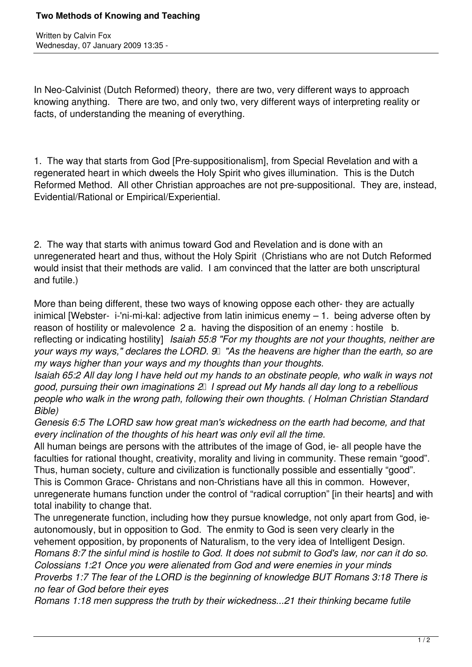Written by Calvin Fox Wednesday, 07 January 2009 13:35 -

In Neo-Calvinist (Dutch Reformed) theory, there are two, very different ways to approach knowing anything. There are two, and only two, very different ways of interpreting reality or facts, of understanding the meaning of everything.

1. The way that starts from God [Pre-suppositionalism], from Special Revelation and with a regenerated heart in which dweels the Holy Spirit who gives illumination. This is the Dutch Reformed Method. All other Christian approaches are not pre-suppositional. They are, instead, Evidential/Rational or Empirical/Experiential.

2. The way that starts with animus toward God and Revelation and is done with an unregenerated heart and thus, without the Holy Spirit (Christians who are not Dutch Reformed would insist that their methods are valid. I am convinced that the latter are both unscriptural and futile.)

More than being different, these two ways of knowing oppose each other- they are actually inimical [Webster- i-'ni-mi-kal: adjective from latin inimicus enemy – 1. being adverse often by reason of hostility or malevolence 2 a. having the disposition of an enemy : hostile b. reflecting or indicating hostility] *Isaiah 55:8 "For my thoughts are not your thoughts, neither are your ways my ways," declares the LORD. 9* "As the heavens are higher than the earth, so are *my ways higher than your ways and my thoughts than your thoughts.*

*Isaiah 65:2 All day long I have held out my hands to an obstinate people, who walk in ways not good, pursuing their own imaginations 2 I spread out My hands all day long to a rebellious people who walk in the wrong path, following their own thoughts. ( Holman Christian Standard Bible)* 

*Genesis 6:5 The LORD saw how great man's wickedness on the earth had become, and that every inclination of the thoughts of his heart was only evil all the time.*

All human beings are persons with the attributes of the image of God, ie- all people have the faculties for rational thought, creativity, morality and living in community. These remain "good". Thus, human society, culture and civilization is functionally possible and essentially "good". This is Common Grace- Christans and non-Christians have all this in common. However, unregenerate humans function under the control of "radical corruption" [in their hearts] and with total inability to change that.

The unregenerate function, including how they pursue knowledge, not only apart from God, ieautonomously, but in opposition to God. The enmity to God is seen very clearly in the vehement opposition, by proponents of Naturalism, to the very idea of Intelligent Design. *Romans 8:7 the sinful mind is hostile to God. It does not submit to God's law, nor can it do so. Colossians 1:21 Once you were alienated from God and were enemies in your minds Proverbs 1:7 The fear of the LORD is the beginning of knowledge BUT Romans 3:18 There is no fear of God before their eyes*

*Romans 1:18 men suppress the truth by their wickedness...21 their thinking became futile*